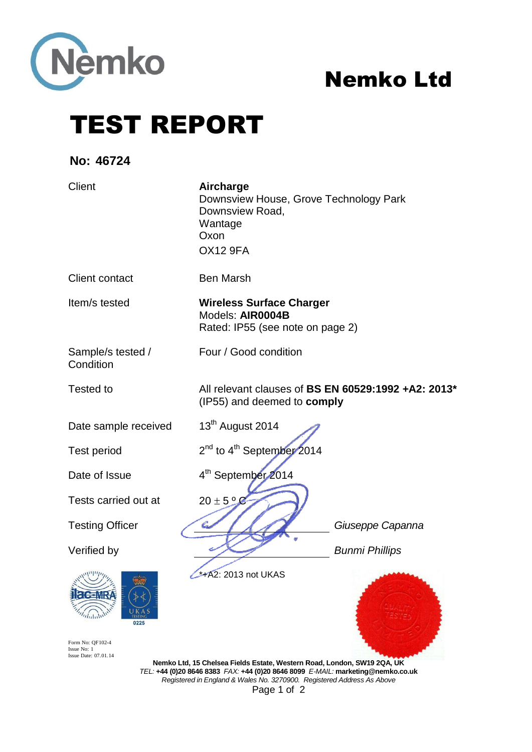

# Nemko Ltd

TEST REPORT

**No: 46724**

| Client                                                                                      | Aircharge<br>Downsview House, Grove Technology Park<br>Downsview Road,<br>Wantage<br>Oxon<br><b>OX12 9FA</b>                                                                                                                         |                       |
|---------------------------------------------------------------------------------------------|--------------------------------------------------------------------------------------------------------------------------------------------------------------------------------------------------------------------------------------|-----------------------|
| <b>Client contact</b>                                                                       | <b>Ben Marsh</b>                                                                                                                                                                                                                     |                       |
| Item/s tested                                                                               | <b>Wireless Surface Charger</b><br>Models: AIR0004B<br>Rated: IP55 (see note on page 2)                                                                                                                                              |                       |
| Sample/s tested /<br>Condition                                                              | Four / Good condition                                                                                                                                                                                                                |                       |
| Tested to                                                                                   | All relevant clauses of BS EN 60529:1992 +A2: 2013*<br>(IP55) and deemed to comply                                                                                                                                                   |                       |
| Date sample received                                                                        | 13 <sup>th</sup> August 2014                                                                                                                                                                                                         |                       |
| <b>Test period</b>                                                                          | 2 <sup>nd</sup> to 4 <sup>th</sup> September 2014                                                                                                                                                                                    |                       |
| Date of Issue                                                                               | 4 <sup>th</sup> September 2014                                                                                                                                                                                                       |                       |
| Tests carried out at                                                                        | $20 \pm 5$ $^{\circ}$ $\odot$                                                                                                                                                                                                        |                       |
| <b>Testing Officer</b>                                                                      |                                                                                                                                                                                                                                      | Giuseppe Capanna      |
| Verified by                                                                                 |                                                                                                                                                                                                                                      | <b>Bunmi Phillips</b> |
| <b><i><u>CENRA</u></i></b><br>$\eta_{\rm H\,II}$<br>0225<br>Form No: QF102-4<br>Issue No: 1 | $\rightarrow$ +A2: 2013 not UKAS                                                                                                                                                                                                     |                       |
| Issue Date: 07.01.14                                                                        | Nemko Ltd, 15 Chelsea Fields Estate, Western Road, London, SW19 2QA, UK<br>TEL: +44 (0)20 8646 8383 FAX: +44 (0)20 8646 8099 E-MAIL: marketing@nemko.co.uk<br>Registered in England & Wales No. 3270900. Registered Address As Above |                       |

Page 1 of 2